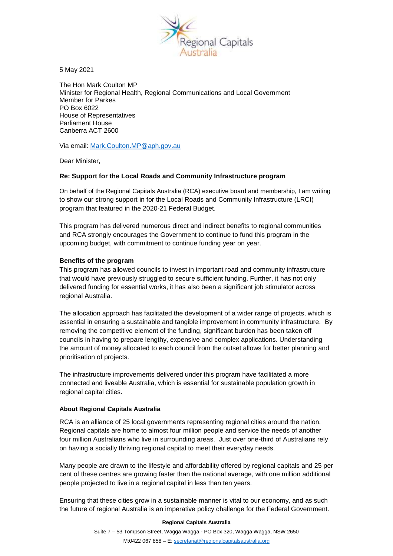

5 May 2021

The Hon Mark Coulton MP Minister for Regional Health, Regional Communications and Local Government Member for Parkes PO Box 6022 House of Representatives Parliament House Canberra ACT 2600

Via email: [Mark.Coulton.MP@aph.gov.au](mailto:Mark.Coulton.MP@aph.gov.au)

Dear Minister,

## **Re: Support for the Local Roads and Community Infrastructure program**

On behalf of the Regional Capitals Australia (RCA) executive board and membership, I am writing to show our strong support in for the Local Roads and Community Infrastructure (LRCI) program that featured in the 2020-21 Federal Budget.

This program has delivered numerous direct and indirect benefits to regional communities and RCA strongly encourages the Government to continue to fund this program in the upcoming budget, with commitment to continue funding year on year.

## **Benefits of the program**

This program has allowed councils to invest in important road and community infrastructure that would have previously struggled to secure sufficient funding. Further, it has not only delivered funding for essential works, it has also been a significant job stimulator across regional Australia.

The allocation approach has facilitated the development of a wider range of projects, which is essential in ensuring a sustainable and tangible improvement in community infrastructure. By removing the competitive element of the funding, significant burden has been taken off councils in having to prepare lengthy, expensive and complex applications. Understanding the amount of money allocated to each council from the outset allows for better planning and prioritisation of projects.

The infrastructure improvements delivered under this program have facilitated a more connected and liveable Australia, which is essential for sustainable population growth in regional capital cities.

## **About Regional Capitals Australia**

RCA is an alliance of 25 local governments representing regional cities around the nation. Regional capitals are home to almost four million people and service the needs of another four million Australians who live in surrounding areas. Just over one-third of Australians rely on having a socially thriving regional capital to meet their everyday needs.

Many people are drawn to the lifestyle and affordability offered by regional capitals and 25 per cent of these centres are growing faster than the national average, with one million additional people projected to live in a regional capital in less than ten years.

Ensuring that these cities grow in a sustainable manner is vital to our economy, and as such the future of regional Australia is an imperative policy challenge for the Federal Government.

## **Regional Capitals Australia**